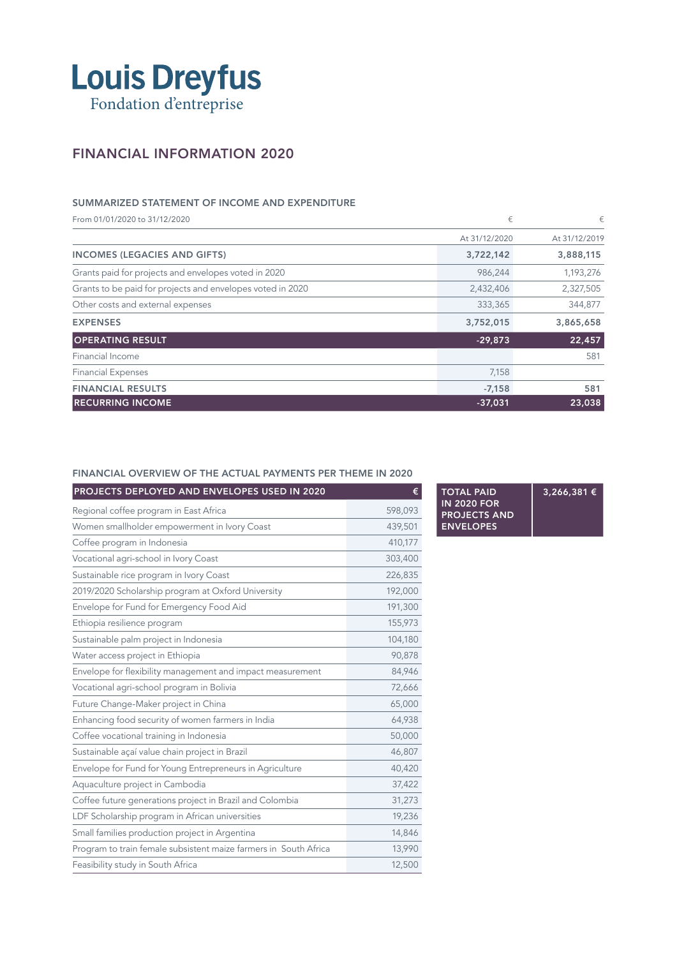

## FINANCIAL INFORMATION 2020

### SUMMARIZED STATEMENT OF INCOME AND EXPENDITURE

From 01/01/2020 to 31/12/2020  $\epsilon$ At 31/12/2020 At 31/12/2019 INCOMES (LEGACIES AND GIFTS) 3,722,142 3,888,115 Grants paid for projects and envelopes voted in 2020 **986,244** 1,193,276 Grants to be paid for projects and envelopes voted in 2020 2,432,406 2,432,406 2,327,505 Other costs and external expenses 344,877 EXPENSES 3,752,015 3,865,658 OPERATING RESULT **22,457** 22,457 Financial Income 581 Financial Expenses 7,158 FINANCIAL RESULTS 581 RECURRING INCOME 23,038 23,038 23,038 23,038 23,038 23,038 23,038 23,038 23,038 23,038 23,038 23,038 23,038 23,038

### FINANCIAL OVERVIEW OF THE ACTUAL PAYMENTS PER THEME IN 2020

| PROJECTS DEPLOYED AND ENVELOPES USED IN 2020<br>€                |         |
|------------------------------------------------------------------|---------|
| Regional coffee program in East Africa                           | 598,093 |
| Women smallholder empowerment in Ivory Coast                     | 439,501 |
| Coffee program in Indonesia                                      | 410,177 |
| Vocational agri-school in Ivory Coast                            | 303,400 |
| Sustainable rice program in Ivory Coast                          | 226,835 |
| 2019/2020 Scholarship program at Oxford University               | 192,000 |
| Envelope for Fund for Emergency Food Aid                         | 191,300 |
| Ethiopia resilience program                                      | 155,973 |
| Sustainable palm project in Indonesia                            | 104,180 |
| Water access project in Ethiopia                                 | 90,878  |
| Envelope for flexibility management and impact measurement       | 84,946  |
| Vocational agri-school program in Bolivia                        | 72,666  |
| Future Change-Maker project in China                             | 65,000  |
| Enhancing food security of women farmers in India                | 64,938  |
| Coffee vocational training in Indonesia                          | 50,000  |
| Sustainable açaí value chain project in Brazil                   | 46,807  |
| Envelope for Fund for Young Entrepreneurs in Agriculture         | 40,420  |
| Aquaculture project in Cambodia                                  | 37,422  |
| Coffee future generations project in Brazil and Colombia         | 31,273  |
| LDF Scholarship program in African universities                  | 19,236  |
| Small families production project in Argentina                   | 14,846  |
| Program to train female subsistent maize farmers in South Africa | 13,990  |
| Feasibility study in South Africa                                | 12,500  |

TOTAL PAID IN 2020 FOR PROJECTS AND ENVELOPES 3,266,381 €